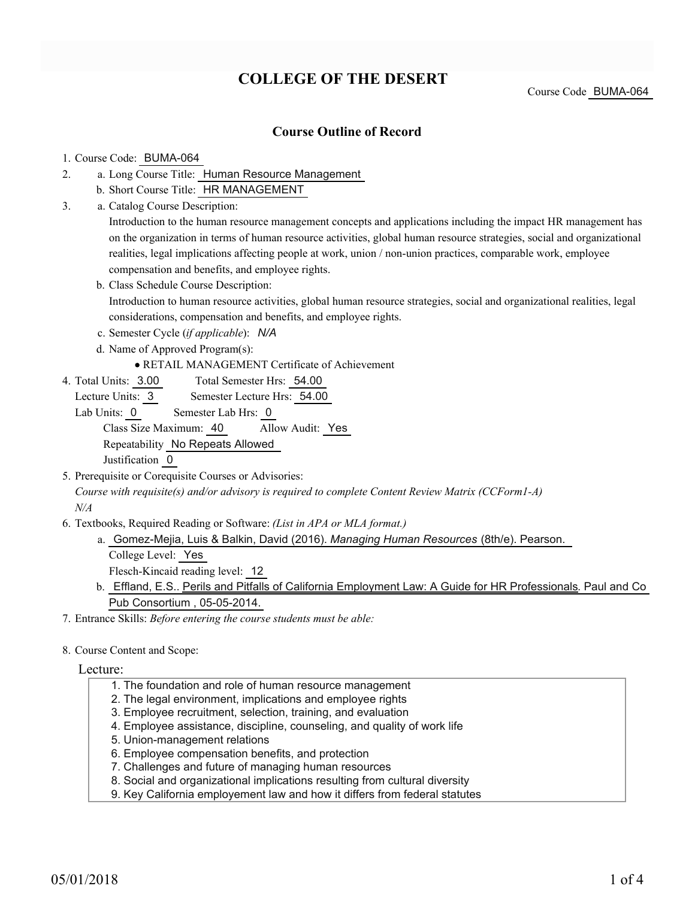# **COLLEGE OF THE DESERT**

Course Code BUMA-064

### **Course Outline of Record**

#### 1. Course Code: BUMA-064

- a. Long Course Title: Human Resource Management 2.
	- b. Short Course Title: HR MANAGEMENT
- Catalog Course Description: a. 3.

Introduction to the human resource management concepts and applications including the impact HR management has on the organization in terms of human resource activities, global human resource strategies, social and organizational realities, legal implications affecting people at work, union / non-union practices, comparable work, employee compensation and benefits, and employee rights.

- b. Class Schedule Course Description: Introduction to human resource activities, global human resource strategies, social and organizational realities, legal considerations, compensation and benefits, and employee rights.
- c. Semester Cycle (*if applicable*): *N/A*
- d. Name of Approved Program(s):

RETAIL MANAGEMENT Certificate of Achievement

Total Semester Hrs: 54.00 4. Total Units: 3.00

Lecture Units: 3 Semester Lecture Hrs: 54.00

- Lab Units: 0 Semester Lab Hrs: 0 Class Size Maximum: 40 Allow Audit: Yes Repeatability No Repeats Allowed Justification 0
- 5. Prerequisite or Corequisite Courses or Advisories:

*Course with requisite(s) and/or advisory is required to complete Content Review Matrix (CCForm1-A) N/A*

Textbooks, Required Reading or Software: *(List in APA or MLA format.)* 6.

a. Gomez-Mejia, Luis & Balkin, David (2016). *Managing Human Resources* (8th/e). Pearson. College Level: Yes

Flesch-Kincaid reading level: 12

b. Effland, E.S.. <u>Perils and Pitfalls of California Employment Law: A Guide for HR Professionals</u>. Paul and Co Pub Consortium , 05-05-2014.

7. Entrance Skills: *Before entering the course students must be able:*

8. Course Content and Scope:

#### Lecture:

- 1. The foundation and role of human resource management
- 2. The legal environment, implications and employee rights
- 3. Employee recruitment, selection, training, and evaluation
- 4. Employee assistance, discipline, counseling, and quality of work life
- 5. Union-management relations
- 6. Employee compensation benefits, and protection
- 7. Challenges and future of managing human resources
- 8. Social and organizational implications resulting from cultural diversity
- 9. Key California employement law and how it differs from federal statutes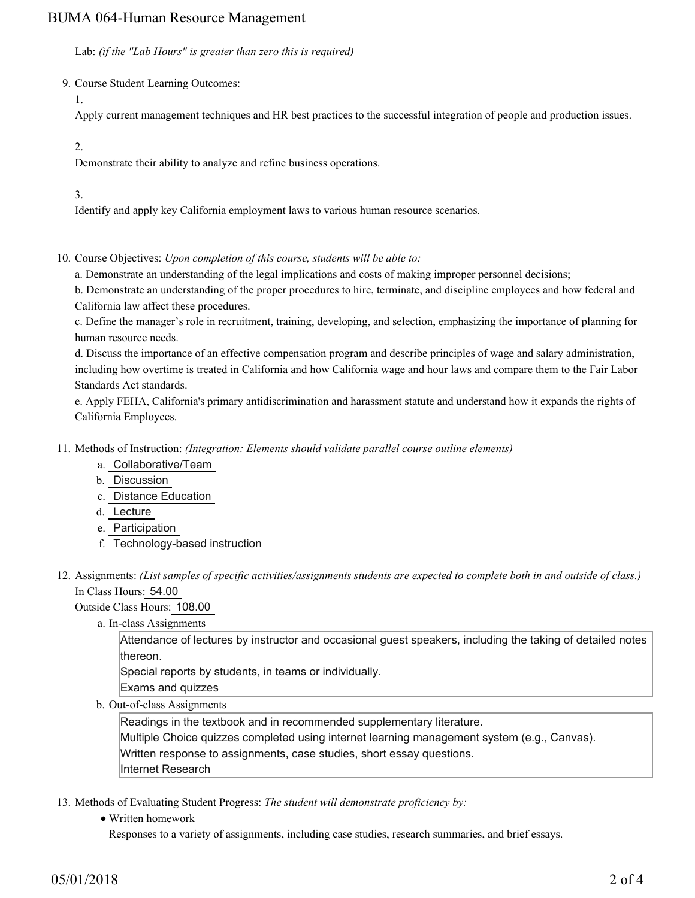## BUMA 064-Human Resource Management

Lab: *(if the "Lab Hours" is greater than zero this is required)*

9. Course Student Learning Outcomes:

1.

Apply current management techniques and HR best practices to the successful integration of people and production issues.

2.

Demonstrate their ability to analyze and refine business operations.

3.

Identify and apply key California employment laws to various human resource scenarios.

10. Course Objectives: Upon completion of this course, students will be able to:

a. Demonstrate an understanding of the legal implications and costs of making improper personnel decisions;

b. Demonstrate an understanding of the proper procedures to hire, terminate, and discipline employees and how federal and California law affect these procedures.

c. Define the manager's role in recruitment, training, developing, and selection, emphasizing the importance of planning for human resource needs.

d. Discuss the importance of an effective compensation program and describe principles of wage and salary administration, including how overtime is treated in California and how California wage and hour laws and compare them to the Fair Labor Standards Act standards.

e. Apply FEHA, California's primary antidiscrimination and harassment statute and understand how it expands the rights of California Employees.

Methods of Instruction: *(Integration: Elements should validate parallel course outline elements)* 11.

- a. Collaborative/Team
- b. Discussion
- c. Distance Education
- d. Lecture
- e. Participation
- f. Technology-based instruction

12. Assignments: (List samples of specific activities/assignments students are expected to complete both in and outside of class.) In Class Hours: 54.00

Outside Class Hours: 108.00

a. In-class Assignments

Attendance of lectures by instructor and occasional guest speakers, including the taking of detailed notes thereon.

Special reports by students, in teams or individually.

Exams and quizzes

b. Out-of-class Assignments

Readings in the textbook and in recommended supplementary literature.

Multiple Choice quizzes completed using internet learning management system (e.g., Canvas).

Written response to assignments, case studies, short essay questions.

Internet Research

13. Methods of Evaluating Student Progress: The student will demonstrate proficiency by:

Written homework

Responses to a variety of assignments, including case studies, research summaries, and brief essays.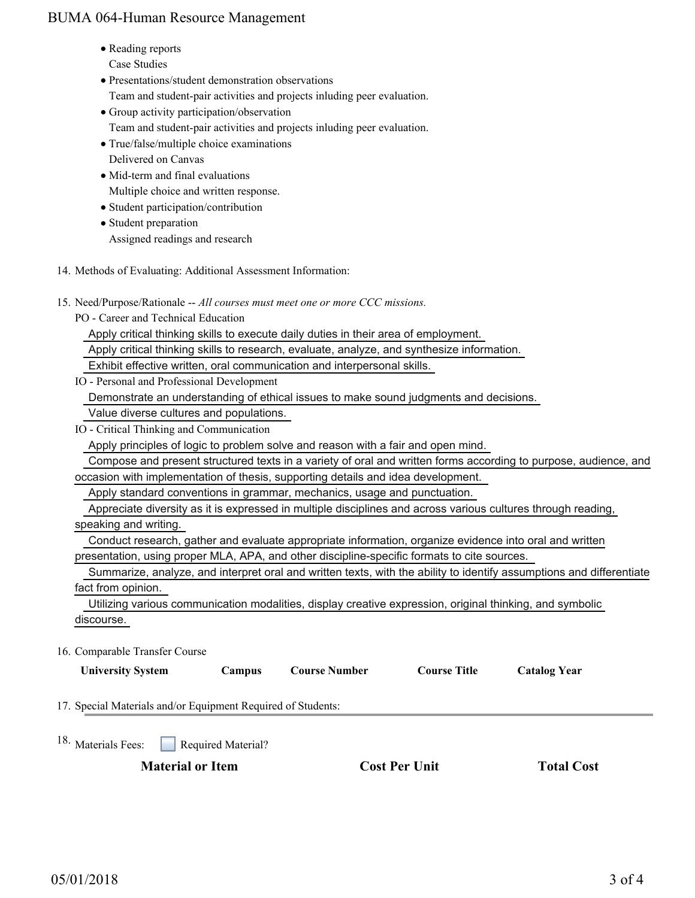## BUMA 064-Human Resource Management

- Reading reports Case Studies
- Presentations/student demonstration observations Team and student-pair activities and projects inluding peer evaluation.
- Group activity participation/observation
- Team and student-pair activities and projects inluding peer evaluation.
- True/false/multiple choice examinations
- Delivered on Canvas
- Mid-term and final evaluations Multiple choice and written response.
- Student participation/contribution
- Student preparation Assigned readings and research
- 14. Methods of Evaluating: Additional Assessment Information:
- 15. Need/Purpose/Rationale -- All courses must meet one or more CCC missions.
	- PO Career and Technical Education

Apply critical thinking skills to execute daily duties in their area of employment.

Apply critical thinking skills to research, evaluate, analyze, and synthesize information.

Exhibit effective written, oral communication and interpersonal skills.

IO - Personal and Professional Development

Demonstrate an understanding of ethical issues to make sound judgments and decisions.

Value diverse cultures and populations.

IO - Critical Thinking and Communication

Apply principles of logic to problem solve and reason with a fair and open mind.

 Compose and present structured texts in a variety of oral and written forms according to purpose, audience, and occasion with implementation of thesis, supporting details and idea development.

Apply standard conventions in grammar, mechanics, usage and punctuation.

 Appreciate diversity as it is expressed in multiple disciplines and across various cultures through reading, speaking and writing.

Conduct research, gather and evaluate appropriate information, organize evidence into oral and written

presentation, using proper MLA, APA, and other discipline-specific formats to cite sources.

 Summarize, analyze, and interpret oral and written texts, with the ability to identify assumptions and differentiate fact from opinion.

 Utilizing various communication modalities, display creative expression, original thinking, and symbolic discourse.

16. Comparable Transfer Course

| <b>University System</b>                                     | Campus             | <b>Course Number</b> | <b>Course Title</b> | <b>Catalog Year</b> |  |
|--------------------------------------------------------------|--------------------|----------------------|---------------------|---------------------|--|
| 17. Special Materials and/or Equipment Required of Students: |                    |                      |                     |                     |  |
| <sup>18.</sup> Materials Fees:                               | Required Material? |                      |                     |                     |  |
| <b>Material or Item</b>                                      |                    | <b>Cost Per Unit</b> | <b>Total Cost</b>   |                     |  |